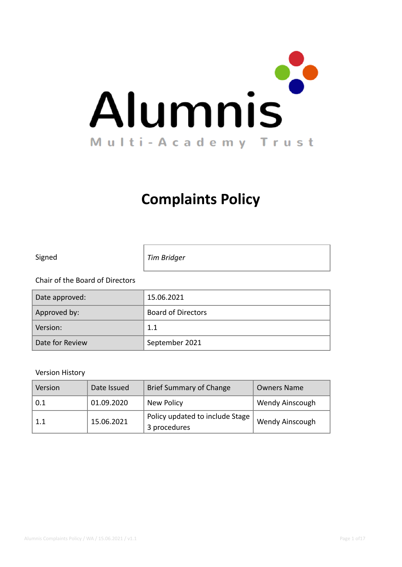

# **Complaints Policy**

| Signed                          | Tim Bridger |
|---------------------------------|-------------|
| Chair of the Board of Directors |             |

| Date approved:  | 15.06.2021                |
|-----------------|---------------------------|
| Approved by:    | <b>Board of Directors</b> |
| Version:        | 1.1                       |
| Date for Review | September 2021            |

#### Version History

| Version | Date Issued | <b>Brief Summary of Change</b>  | <b>Owners Name</b>     |
|---------|-------------|---------------------------------|------------------------|
| 0.1     | 01.09.2020  | New Policy                      | <b>Wendy Ainscough</b> |
| 1.1     | 15.06.2021  | Policy updated to include Stage | Wendy Ainscough        |
|         |             | 3 procedures                    |                        |

٦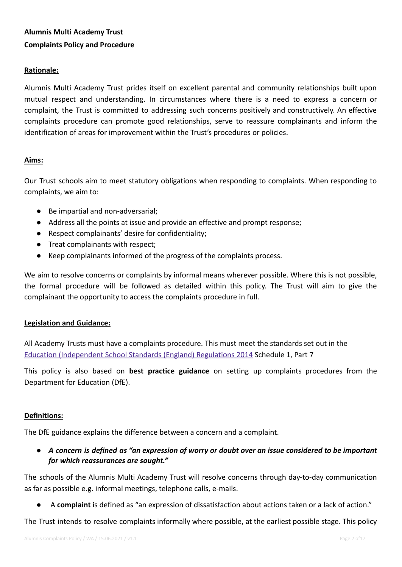# **Alumnis Multi Academy Trust Complaints Policy and Procedure**

#### **Rationale:**

Alumnis Multi Academy Trust prides itself on excellent parental and community relationships built upon mutual respect and understanding. In circumstances where there is a need to express a concern or complaint, the Trust is committed to addressing such concerns positively and constructively. An effective complaints procedure can promote good relationships, serve to reassure complainants and inform the identification of areas for improvement within the Trust's procedures or policies.

### **Aims:**

Our Trust schools aim to meet statutory obligations when responding to complaints. When responding to complaints, we aim to:

- Be impartial and non-adversarial:
- Address all the points at issue and provide an effective and prompt response;
- Respect complainants' desire for confidentiality;
- Treat complainants with respect;
- Keep complainants informed of the progress of the complaints process.

We aim to resolve concerns or complaints by informal means wherever possible. Where this is not possible, the formal procedure will be followed as detailed within this policy. The Trust will aim to give the complainant the opportunity to access the complaints procedure in full.

#### **Legislation and Guidance:**

All Academy Trusts must have a complaints procedure. This must meet the standards set out in the [Education \(Independent School Standards \(England\)](http://www.legislation.gov.uk/uksi/2014/3283/schedule/made) Regulations 2014 Schedule 1, Part 7

This policy is also based on **best practice guidance** on setting up complaints [procedures](https://www.gov.uk/government/publications/school-complaints-procedures) from the Department for Education (DfE).

#### **Definitions:**

The DfE guidance explains the difference between a concern and a complaint.

• A concern is defined as "an expression of worry or doubt over an issue considered to be important *for which reassurances are sought."*

The schools of the Alumnis Multi Academy Trust will resolve concerns through day-to-day communication as far as possible e.g. informal meetings, telephone calls, e-mails.

● A **complaint** is defined as "an expression of dissatisfaction about actions taken or a lack of action."

The Trust intends to resolve complaints informally where possible, at the earliest possible stage. This policy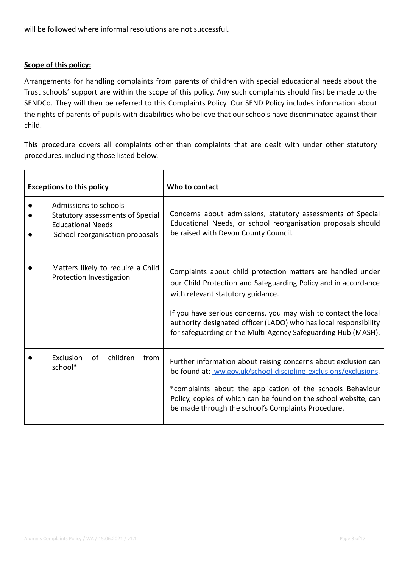will be followed where informal resolutions are not successful.

## **Scope of this policy:**

'n

Arrangements for handling complaints from parents of children with special educational needs about the Trust schools' support are within the scope of this policy. Any such complaints should first be made to the SENDCo. They will then be referred to this Complaints Policy. Our SEND Policy includes information about the rights of parents of pupils with disabilities who believe that our schools have discriminated against their child.

This procedure covers all complaints other than complaints that are dealt with under other statutory procedures, including those listed below.

| <b>Exceptions to this policy</b>                                                                                         | Who to contact                                                                                                                                                                                                                                                                                                                                                             |
|--------------------------------------------------------------------------------------------------------------------------|----------------------------------------------------------------------------------------------------------------------------------------------------------------------------------------------------------------------------------------------------------------------------------------------------------------------------------------------------------------------------|
| Admissions to schools<br>Statutory assessments of Special<br><b>Educational Needs</b><br>School reorganisation proposals | Concerns about admissions, statutory assessments of Special<br>Educational Needs, or school reorganisation proposals should<br>be raised with Devon County Council.                                                                                                                                                                                                        |
| Matters likely to require a Child<br>Protection Investigation                                                            | Complaints about child protection matters are handled under<br>our Child Protection and Safeguarding Policy and in accordance<br>with relevant statutory guidance.<br>If you have serious concerns, you may wish to contact the local<br>authority designated officer (LADO) who has local responsibility<br>for safeguarding or the Multi-Agency Safeguarding Hub (MASH). |
| children<br>Exclusion<br>of<br>from<br>school*                                                                           | Further information about raising concerns about exclusion can<br>be found at: ww.gov.uk/school-discipline-exclusions/exclusions.<br>*complaints about the application of the schools Behaviour<br>Policy, copies of which can be found on the school website, can<br>be made through the school's Complaints Procedure.                                                   |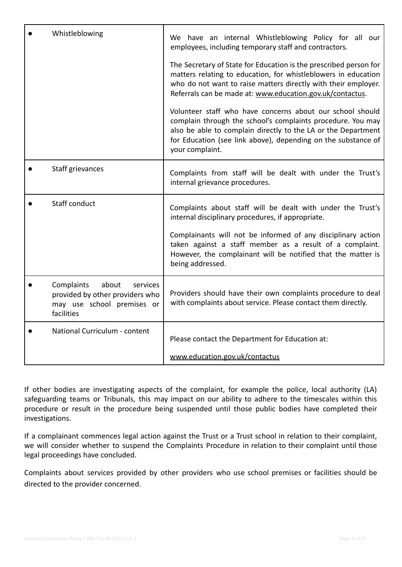| Whistleblowing                                                                                                 | We have an internal Whistleblowing Policy for all our<br>employees, including temporary staff and contractors.                                                                                                                                                                |
|----------------------------------------------------------------------------------------------------------------|-------------------------------------------------------------------------------------------------------------------------------------------------------------------------------------------------------------------------------------------------------------------------------|
|                                                                                                                | The Secretary of State for Education is the prescribed person for<br>matters relating to education, for whistleblowers in education<br>who do not want to raise matters directly with their employer.<br>Referrals can be made at: www.education.gov.uk/contactus.            |
|                                                                                                                | Volunteer staff who have concerns about our school should<br>complain through the school's complaints procedure. You may<br>also be able to complain directly to the LA or the Department<br>for Education (see link above), depending on the substance of<br>your complaint. |
| Staff grievances                                                                                               | Complaints from staff will be dealt with under the Trust's<br>internal grievance procedures.                                                                                                                                                                                  |
| Staff conduct                                                                                                  | Complaints about staff will be dealt with under the Trust's<br>internal disciplinary procedures, if appropriate.                                                                                                                                                              |
|                                                                                                                | Complainants will not be informed of any disciplinary action<br>taken against a staff member as a result of a complaint.<br>However, the complainant will be notified that the matter is<br>being addressed.                                                                  |
| about<br>Complaints<br>services<br>provided by other providers who<br>may use school premises or<br>facilities | Providers should have their own complaints procedure to deal<br>with complaints about service. Please contact them directly.                                                                                                                                                  |
| National Curriculum - content                                                                                  | Please contact the Department for Education at:                                                                                                                                                                                                                               |
|                                                                                                                | www.education.gov.uk/contactus                                                                                                                                                                                                                                                |

If other bodies are investigating aspects of the complaint, for example the police, local authority (LA) safeguarding teams or Tribunals, this may impact on our ability to adhere to the timescales within this procedure or result in the procedure being suspended until those public bodies have completed their investigations.

If a complainant commences legal action against the Trust or a Trust school in relation to their complaint, we will consider whether to suspend the Complaints Procedure in relation to their complaint until those legal proceedings have concluded.

Complaints about services provided by other providers who use school premises or facilities should be directed to the provider concerned.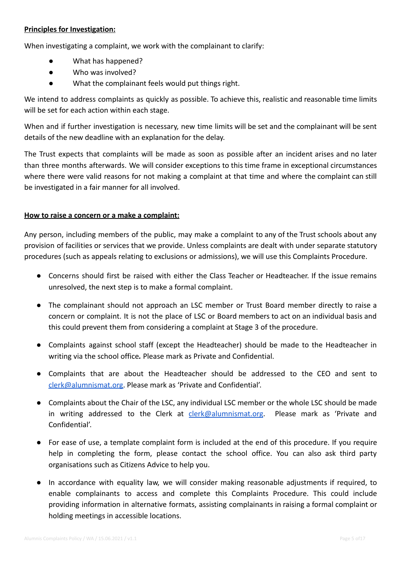#### **Principles for Investigation:**

When investigating a complaint, we work with the complainant to clarify:

- What has happened?
- Who was involved?
- What the complainant feels would put things right.

We intend to address complaints as quickly as possible. To achieve this, realistic and reasonable time limits will be set for each action within each stage.

When and if further investigation is necessary, new time limits will be set and the complainant will be sent details of the new deadline with an explanation for the delay.

The Trust expects that complaints will be made as soon as possible after an incident arises and no later than three months afterwards. We will consider exceptions to this time frame in exceptional circumstances where there were valid reasons for not making a complaint at that time and where the complaint can still be investigated in a fair manner for all involved.

#### **How to raise a concern or a make a complaint:**

Any person, including members of the public, may make a complaint to any of the Trust schools about any provision of facilities or services that we provide. Unless complaints are dealt with under separate statutory procedures (such as appeals relating to exclusions or admissions), we will use this Complaints Procedure.

- Concerns should first be raised with either the Class Teacher or Headteacher. If the issue remains unresolved, the next step is to make a formal complaint.
- The complainant should not approach an LSC member or Trust Board member directly to raise a concern or complaint. It is not the place of LSC or Board members to act on an individual basis and this could prevent them from considering a complaint at Stage 3 of the procedure.
- Complaints against school staff (except the Headteacher) should be made to the Headteacher in writing via the school office*.* Please mark as Private and Confidential.
- Complaints that are about the Headteacher should be addressed to the CEO and sent to [clerk@alumnismat.org.](mailto:clerk@alumnismat.org) Please mark as 'Private and Confidential'.
- Complaints about the Chair of the LSC, any individual LSC member or the whole LSC should be made in writing addressed to the Clerk at  $_{\rm clerk}$ @alumnismat.org. Please mark as 'Private and Confidential'.
- For ease of use, a template complaint form is included at the end of this procedure. If you require help in completing the form, please contact the school office. You can also ask third party organisations such as Citizens Advice to help you.
- In accordance with equality law, we will consider making reasonable adjustments if required, to enable complainants to access and complete this Complaints Procedure. This could include providing information in alternative formats, assisting complainants in raising a formal complaint or holding meetings in accessible locations.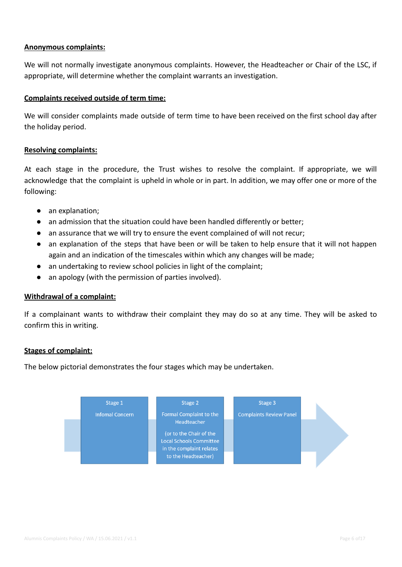#### **Anonymous complaints:**

We will not normally investigate anonymous complaints. However, the Headteacher or Chair of the LSC, if appropriate, will determine whether the complaint warrants an investigation.

#### **Complaints received outside of term time:**

We will consider complaints made outside of term time to have been received on the first school day after the holiday period.

#### **Resolving complaints:**

At each stage in the procedure, the Trust wishes to resolve the complaint. If appropriate, we will acknowledge that the complaint is upheld in whole or in part. In addition, we may offer one or more of the following:

- an explanation;
- an admission that the situation could have been handled differently or better;
- an assurance that we will try to ensure the event complained of will not recur;
- an explanation of the steps that have been or will be taken to help ensure that it will not happen again and an indication of the timescales within which any changes will be made;
- an undertaking to review school policies in light of the complaint;
- an apology (with the permission of parties involved).

#### **Withdrawal of a complaint:**

If a complainant wants to withdraw their complaint they may do so at any time. They will be asked to confirm this in writing.

#### **Stages of complaint:**

The below pictorial demonstrates the four stages which may be undertaken.

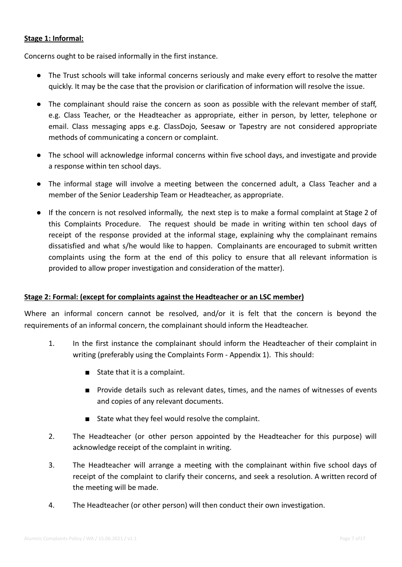#### **Stage 1: Informal:**

Concerns ought to be raised informally in the first instance.

- The Trust schools will take informal concerns seriously and make every effort to resolve the matter quickly. It may be the case that the provision or clarification of information will resolve the issue.
- The complainant should raise the concern as soon as possible with the relevant member of staff, e.g. Class Teacher, or the Headteacher as appropriate, either in person, by letter, telephone or email. Class messaging apps e.g. ClassDojo, Seesaw or Tapestry are not considered appropriate methods of communicating a concern or complaint.
- The school will acknowledge informal concerns within five school days, and investigate and provide a response within ten school days.
- The informal stage will involve a meeting between the concerned adult, a Class Teacher and a member of the Senior Leadership Team or Headteacher, as appropriate.
- If the concern is not resolved informally, the next step is to make a formal complaint at Stage 2 of this Complaints Procedure. The request should be made in writing within ten school days of receipt of the response provided at the informal stage, explaining why the complainant remains dissatisfied and what s/he would like to happen. Complainants are encouraged to submit written complaints using the form at the end of this policy to ensure that all relevant information is provided to allow proper investigation and consideration of the matter).

# **Stage 2: Formal: (except for complaints against the Headteacher or an LSC member)**

Where an informal concern cannot be resolved, and/or it is felt that the concern is beyond the requirements of an informal concern, the complainant should inform the Headteacher.

- 1. In the first instance the complainant should inform the Headteacher of their complaint in writing (preferably using the Complaints Form - Appendix 1). This should:
	- State that it is a complaint.
	- Provide details such as relevant dates, times, and the names of witnesses of events and copies of any relevant documents.
	- State what they feel would resolve the complaint.
- 2. The Headteacher (or other person appointed by the Headteacher for this purpose) will acknowledge receipt of the complaint in writing.
- 3. The Headteacher will arrange a meeting with the complainant within five school days of receipt of the complaint to clarify their concerns, and seek a resolution. A written record of the meeting will be made.
- 4. The Headteacher (or other person) will then conduct their own investigation.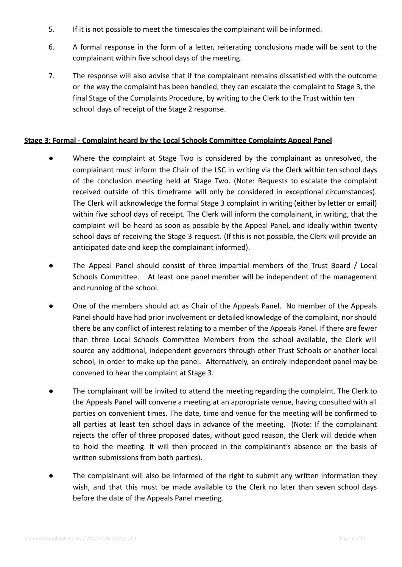- 5. If it is not possible to meet the timescales the complainant will be informed.
- 6. A formal response in the form of a letter, reiterating conclusions made will be sent to the complainant within five school days of the meeting.
- 7. The response will also advise that if the complainant remains dissatisfied with the outcome or the way the complaint has been handled, they can escalate the complaint to Stage 3, the final Stage of the Complaints Procedure, by writing to the Clerk to the Trust within ten school days of receipt of the Stage 2 response.

#### **Stage 3: Formal - Complaint heard by the Local Schools Committee Complaints Appeal Panel**

- Where the complaint at Stage Two is considered by the complainant as unresolved, the complainant must inform the Chair of the LSC in writing via the Clerk within ten school days of the conclusion meeting held at Stage Two. (Note: Requests to escalate the complaint received outside of this timeframe will only be considered in exceptional circumstances). The Clerk will acknowledge the formal Stage 3 complaint in writing (either by letter or email) within five school days of receipt. The Clerk will inform the complainant, in writing, that the complaint will be heard as soon as possible by the Appeal Panel, and ideally within twenty school days of receiving the Stage 3 request. (If this is not possible, the Clerk will provide an anticipated date and keep the complainant informed).
- The Appeal Panel should consist of three impartial members of the Trust Board / Local Schools Committee. At least one panel member will be independent of the management and running of the school.
- One of the members should act as Chair of the Appeals Panel. No member of the Appeals Panel should have had prior involvement or detailed knowledge of the complaint, nor should there be any conflict of interest relating to a member of the Appeals Panel. If there are fewer than three Local Schools Committee Members from the school available, the Clerk will source any additional, independent governors through other Trust Schools or another local school, in order to make up the panel. Alternatively, an entirely independent panel may be convened to hear the complaint at Stage 3.
- The complainant will be invited to attend the meeting regarding the complaint. The Clerk to the Appeals Panel will convene a meeting at an appropriate venue, having consulted with all parties on convenient times. The date, time and venue for the meeting will be confirmed to all parties at least ten school days in advance of the meeting. (Note: If the complainant rejects the offer of three proposed dates, without good reason, the Clerk will decide when to hold the meeting. It will then proceed in the complainant's absence on the basis of written submissions from both parties).
- The complainant will also be informed of the right to submit any written information they wish, and that this must be made available to the Clerk no later than seven school days before the date of the Appeals Panel meeting.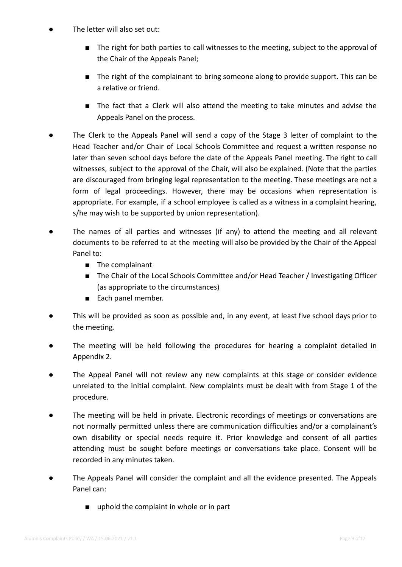- The letter will also set out:
	- The right for both parties to call witnesses to the meeting, subject to the approval of the Chair of the Appeals Panel;
	- The right of the complainant to bring someone along to provide support. This can be a relative or friend.
	- The fact that a Clerk will also attend the meeting to take minutes and advise the Appeals Panel on the process.
- The Clerk to the Appeals Panel will send a copy of the Stage 3 letter of complaint to the Head Teacher and/or Chair of Local Schools Committee and request a written response no later than seven school days before the date of the Appeals Panel meeting. The right to call witnesses, subject to the approval of the Chair, will also be explained. (Note that the parties are discouraged from bringing legal representation to the meeting. These meetings are not a form of legal proceedings. However, there may be occasions when representation is appropriate. For example, if a school employee is called as a witness in a complaint hearing, s/he may wish to be supported by union representation).
- The names of all parties and witnesses (if any) to attend the meeting and all relevant documents to be referred to at the meeting will also be provided by the Chair of the Appeal Panel to:
	- The complainant
	- The Chair of the Local Schools Committee and/or Head Teacher / Investigating Officer (as appropriate to the circumstances)
	- Each panel member.
- This will be provided as soon as possible and, in any event, at least five school days prior to the meeting.
- The meeting will be held following the procedures for hearing a complaint detailed in Appendix 2.
- The Appeal Panel will not review any new complaints at this stage or consider evidence unrelated to the initial complaint. New complaints must be dealt with from Stage 1 of the procedure.
- The meeting will be held in private. Electronic recordings of meetings or conversations are not normally permitted unless there are communication difficulties and/or a complainant's own disability or special needs require it. Prior knowledge and consent of all parties attending must be sought before meetings or conversations take place. Consent will be recorded in any minutes taken.
- The Appeals Panel will consider the complaint and all the evidence presented. The Appeals Panel can:
	- uphold the complaint in whole or in part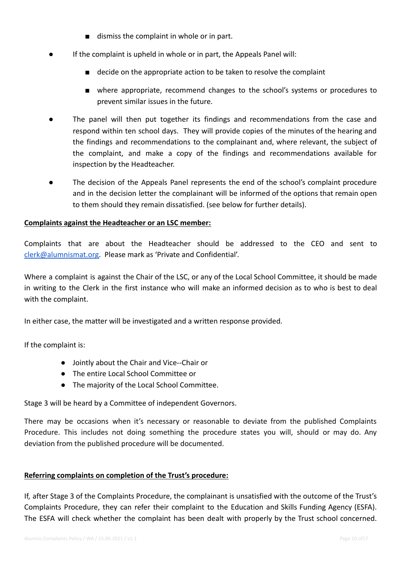- dismiss the complaint in whole or in part.
- If the complaint is upheld in whole or in part, the Appeals Panel will:
	- decide on the appropriate action to be taken to resolve the complaint
	- where appropriate, recommend changes to the school's systems or procedures to prevent similar issues in the future.
- The panel will then put together its findings and recommendations from the case and respond within ten school days. They will provide copies of the minutes of the hearing and the findings and recommendations to the complainant and, where relevant, the subject of the complaint, and make a copy of the findings and recommendations available for inspection by the Headteacher.
- The decision of the Appeals Panel represents the end of the school's complaint procedure and in the decision letter the complainant will be informed of the options that remain open to them should they remain dissatisfied. (see below for further details).

#### **Complaints against the Headteacher or an LSC member:**

Complaints that are about the Headteacher should be addressed to the CEO and sent to [clerk@alumnismat.org.](mailto:clerk@alumnismat.org) Please mark as 'Private and Confidential'.

Where a complaint is against the Chair of the LSC, or any of the Local School Committee, it should be made in writing to the Clerk in the first instance who will make an informed decision as to who is best to deal with the complaint.

In either case, the matter will be investigated and a written response provided.

If the complaint is:

- Jointly about the Chair and Vice--Chair or
- The entire Local School Committee or
- The majority of the Local School Committee.

Stage 3 will be heard by a Committee of independent Governors.

There may be occasions when it's necessary or reasonable to deviate from the published Complaints Procedure. This includes not doing something the procedure states you will, should or may do. Any deviation from the published procedure will be documented.

#### **Referring complaints on completion of the Trust's procedure:**

If, after Stage 3 of the Complaints Procedure, the complainant is unsatisfied with the outcome of the Trust's Complaints Procedure, they can refer their complaint to the Education and Skills Funding Agency (ESFA). The ESFA will check whether the complaint has been dealt with properly by the Trust school concerned.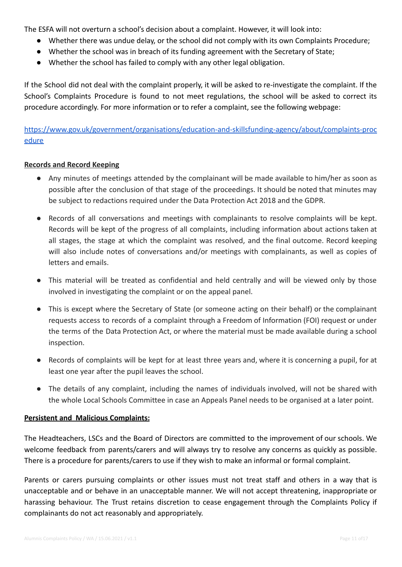The ESFA will not overturn a school's decision about a complaint. However, it will look into:

- Whether there was undue delay, or the school did not comply with its own Complaints Procedure;
- Whether the school was in breach of its funding agreement with the Secretary of State;
- Whether the school has failed to comply with any other legal obligation.

If the School did not deal with the complaint properly, it will be asked to re-investigate the complaint. If the School's Complaints Procedure is found to not meet regulations, the school will be asked to correct its procedure accordingly. For more information or to refer a complaint, see the following webpage:

[https://www.gov.uk/government/organisations/education-and-skillsfunding-agency/about/complaints-proc](https://www.gov.uk/government/organisations/education-and-skillsfunding-agency/about/complaints-procedure) **[edure](https://www.gov.uk/government/organisations/education-and-skillsfunding-agency/about/complaints-procedure)** 

### **Records and Record Keeping**

- Any minutes of meetings attended by the complainant will be made available to him/her as soon as possible after the conclusion of that stage of the proceedings. It should be noted that minutes may be subject to redactions required under the Data Protection Act 2018 and the GDPR.
- Records of all conversations and meetings with complainants to resolve complaints will be kept. Records will be kept of the progress of all complaints, including information about actions taken at all stages, the stage at which the complaint was resolved, and the final outcome. Record keeping will also include notes of conversations and/or meetings with complainants, as well as copies of letters and emails.
- This material will be treated as confidential and held centrally and will be viewed only by those involved in investigating the complaint or on the appeal panel.
- This is except where the Secretary of State (or someone acting on their behalf) or the complainant requests access to records of a complaint through a Freedom of Information (FOI) request or under the terms of the Data Protection Act, or where the material must be made available during a school inspection.
- Records of complaints will be kept for at least three years and, where it is concerning a pupil, for at least one year after the pupil leaves the school.
- The details of any complaint, including the names of individuals involved, will not be shared with the whole Local Schools Committee in case an Appeals Panel needs to be organised at a later point.

#### **Persistent and Malicious Complaints:**

The Headteachers, LSCs and the Board of Directors are committed to the improvement of our schools. We welcome feedback from parents/carers and will always try to resolve any concerns as quickly as possible. There is a procedure for parents/carers to use if they wish to make an informal or formal complaint.

Parents or carers pursuing complaints or other issues must not treat staff and others in a way that is unacceptable and or behave in an unacceptable manner. We will not accept threatening, inappropriate or harassing behaviour. The Trust retains discretion to cease engagement through the Complaints Policy if complainants do not act reasonably and appropriately.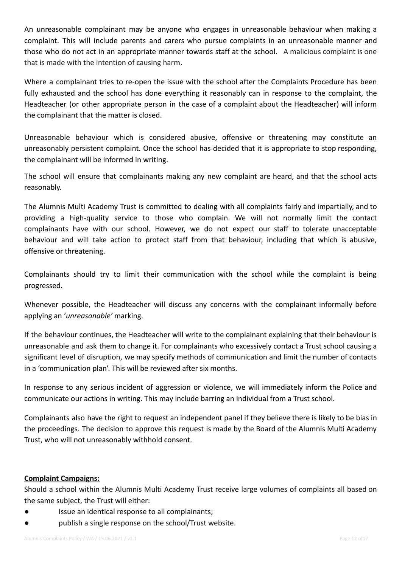An unreasonable complainant may be anyone who engages in unreasonable behaviour when making a complaint. This will include parents and carers who pursue complaints in an unreasonable manner and those who do not act in an appropriate manner towards staff at the school. A malicious complaint is one that is made with the intention of causing harm.

Where a complainant tries to re-open the issue with the school after the Complaints Procedure has been fully exhausted and the school has done everything it reasonably can in response to the complaint, the Headteacher (or other appropriate person in the case of a complaint about the Headteacher) will inform the complainant that the matter is closed.

Unreasonable behaviour which is considered abusive, offensive or threatening may constitute an unreasonably persistent complaint. Once the school has decided that it is appropriate to stop responding, the complainant will be informed in writing.

The school will ensure that complainants making any new complaint are heard, and that the school acts reasonably.

The Alumnis Multi Academy Trust is committed to dealing with all complaints fairly and impartially, and to providing a high-quality service to those who complain. We will not normally limit the contact complainants have with our school. However, we do not expect our staff to tolerate unacceptable behaviour and will take action to protect staff from that behaviour, including that which is abusive, offensive or threatening.

Complainants should try to limit their communication with the school while the complaint is being progressed.

Whenever possible, the Headteacher will discuss any concerns with the complainant informally before applying an '*unreasonable'* marking.

If the behaviour continues, the Headteacher will write to the complainant explaining that their behaviour is unreasonable and ask them to change it. For complainants who excessively contact a Trust school causing a significant level of disruption, we may specify methods of communication and limit the number of contacts in a 'communication plan'. This will be reviewed after six months.

In response to any serious incident of aggression or violence, we will immediately inform the Police and communicate our actions in writing. This may include barring an individual from a Trust school.

Complainants also have the right to request an independent panel if they believe there is likely to be bias in the proceedings. The decision to approve this request is made by the Board of the Alumnis Multi Academy Trust, who will not unreasonably withhold consent.

#### **Complaint Campaigns:**

Should a school within the Alumnis Multi Academy Trust receive large volumes of complaints all based on the same subject, the Trust will either:

- Issue an identical response to all complainants;
- publish a single response on the school/Trust website.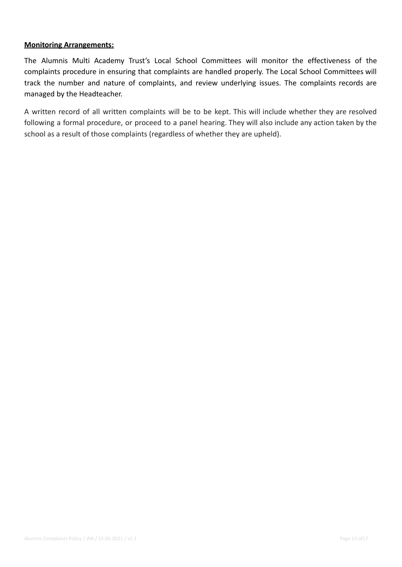#### **Monitoring Arrangements:**

The Alumnis Multi Academy Trust's Local School Committees will monitor the effectiveness of the complaints procedure in ensuring that complaints are handled properly. The Local School Committees will track the number and nature of complaints, and review underlying issues. The complaints records are managed by the Headteacher.

A written record of all written complaints will be to be kept. This will include whether they are resolved following a formal procedure, or proceed to a panel hearing. They will also include any action taken by the school as a result of those complaints (regardless of whether they are upheld).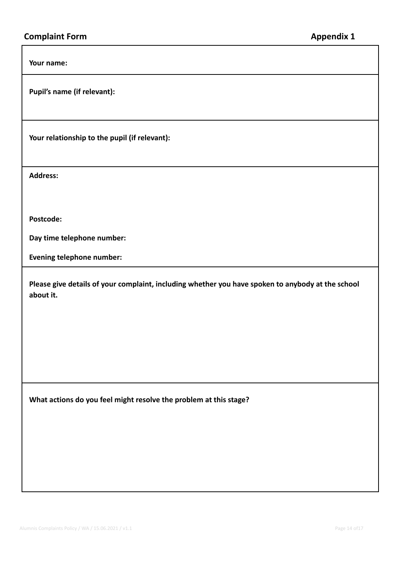**Your name:**

**Pupil's name (if relevant):**

**Your relationship to the pupil (if relevant):**

**Address:**

**Postcode:**

**Day time telephone number:**

**Evening telephone number:**

**Please give details of your complaint, including whether you have spoken to anybody at the school about it.**

**What actions do you feel might resolve the problem at this stage?**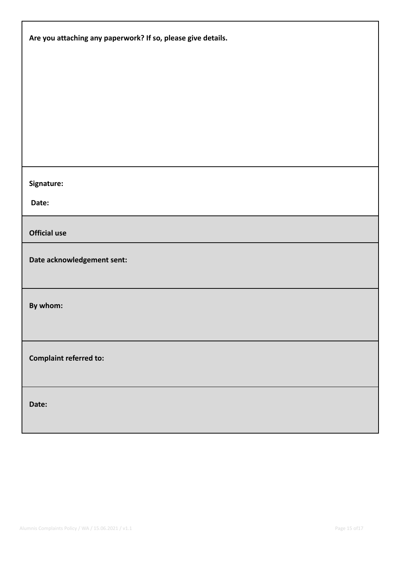| Are you attaching any paperwork? If so, please give details. |  |
|--------------------------------------------------------------|--|
|                                                              |  |
|                                                              |  |
|                                                              |  |
|                                                              |  |
| Signature:                                                   |  |
| Date:                                                        |  |
| <b>Official use</b>                                          |  |
| Date acknowledgement sent:                                   |  |
| By whom:                                                     |  |
| <b>Complaint referred to:</b>                                |  |
| Date:                                                        |  |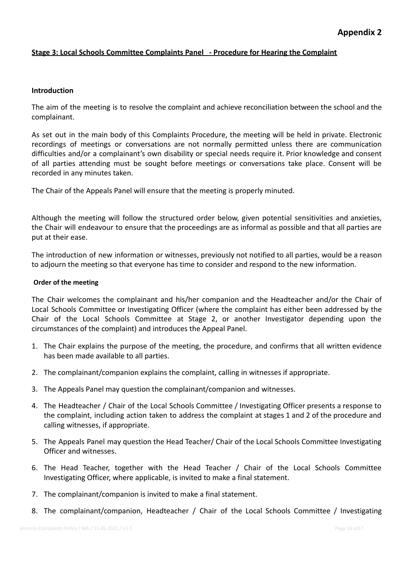## **Stage 3: Local Schools Committee Complaints Panel ‐ Procedure for Hearing the Complaint**

#### **Introduction**

The aim of the meeting is to resolve the complaint and achieve reconciliation between the school and the complainant.

As set out in the main body of this Complaints Procedure, the meeting will be held in private. Electronic recordings of meetings or conversations are not normally permitted unless there are communication difficulties and/or a complainant's own disability or special needs require it. Prior knowledge and consent of all parties attending must be sought before meetings or conversations take place. Consent will be recorded in any minutes taken.

The Chair of the Appeals Panel will ensure that the meeting is properly minuted.

Although the meeting will follow the structured order below, given potential sensitivities and anxieties, the Chair will endeavour to ensure that the proceedings are as informal as possible and that all parties are put at their ease.

The introduction of new information or witnesses, previously not notified to all parties, would be a reason to adjourn the meeting so that everyone has time to consider and respond to the new information.

#### **Order of the meeting**

The Chair welcomes the complainant and his/her companion and the Headteacher and/or the Chair of Local Schools Committee or Investigating Officer (where the complaint has either been addressed by the Chair of the Local Schools Committee at Stage 2, or another Investigator depending upon the circumstances of the complaint) and introduces the Appeal Panel.

- 1. The Chair explains the purpose of the meeting, the procedure, and confirms that all written evidence has been made available to all parties.
- 2. The complainant/companion explains the complaint, calling in witnesses if appropriate.
- 3. The Appeals Panel may question the complainant/companion and witnesses.
- 4. The Headteacher / Chair of the Local Schools Committee / Investigating Officer presents a response to the complaint, including action taken to address the complaint at stages 1 and 2 of the procedure and calling witnesses, if appropriate.
- 5. The Appeals Panel may question the Head Teacher/ Chair of the Local Schools Committee Investigating Officer and witnesses.
- 6. The Head Teacher, together with the Head Teacher / Chair of the Local Schools Committee Investigating Officer, where applicable, is invited to make a final statement.
- 7. The complainant/companion is invited to make a final statement.
- 8. The complainant/companion, Headteacher / Chair of the Local Schools Committee / Investigating